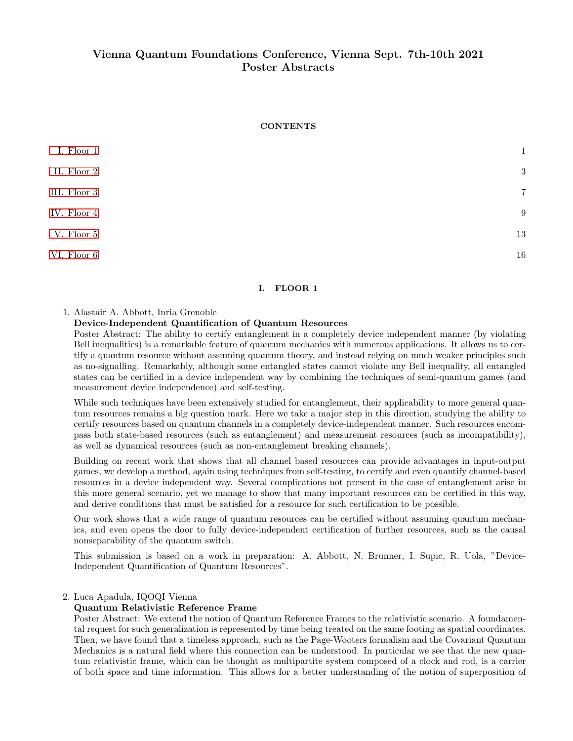# Vienna Quantum Foundations Conference, Vienna Sept. 7th-10th 2021 Poster Abstracts

## **CONTENTS**

| I. Floor 1   | $\mathbf{1}$   |
|--------------|----------------|
| II. Floor 2  | 3              |
| III. Floor 3 | $\overline{7}$ |
| IV. Floor 4  | 9              |
| V. Floor 5   | 13             |
| VI. Floor 6  | 16             |

# <span id="page-0-0"></span>I. FLOOR 1

### 1. Alastair A. Abbott, Inria Grenoble

## Device-Independent Quantification of Quantum Resources

Poster Abstract: The ability to certify entanglement in a completely device independent manner (by violating Bell inequalities) is a remarkable feature of quantum mechanics with numerous applications. It allows us to certify a quantum resource without assuming quantum theory, and instead relying on much weaker principles such as no-signalling. Remarkably, although some entangled states cannot violate any Bell inequality, all entangled states can be certified in a device independent way by combining the techniques of semi-quantum games (and measurement device independence) and self-testing.

While such techniques have been extensively studied for entanglement, their applicability to more general quantum resources remains a big question mark. Here we take a major step in this direction, studying the ability to certify resources based on quantum channels in a completely device-independent manner. Such resources encompass both state-based resources (such as entanglement) and measurement resources (such as incompatibility), as well as dynamical resources (such as non-entanglement breaking channels).

Building on recent work that shows that all channel based resources can provide advantages in input-output games, we develop a method, again using techniques from self-testing, to certify and even quantify channel-based resources in a device independent way. Several complications not present in the case of entanglement arise in this more general scenario, yet we manage to show that many important resources can be certified in this way, and derive conditions that must be satisfied for a resource for such certification to be possible.

Our work shows that a wide range of quantum resources can be certified without assuming quantum mechanics, and even opens the door to fully device-independent certification of further resources, such as the causal nonseparability of the quantum switch.

This submission is based on a work in preparation: A. Abbott, N. Brunner, I. Supic, R. Uola, "Device-Independent Quantification of Quantum Resources".

### 2. Luca Apadula, IQOQI Vienna

## Quantum Relativistic Reference Frame

Poster Abstract: We extend the notion of Quantum Reference Frames to the relativistic scenario. A foundamental request for such generalization is represented by time being treated on the same footing as spatial coordinates. Then, we have found that a timeless approach, such as the Page-Wooters formalism and the Covariant Quantum Mechanics is a natural field where this connection can be understood. In particular we see that the new quantum relativistic frame, which can be thought as multipartite system composed of a clock and rod, is a carrier of both space and time information. This allows for a better understanding of the notion of superposition of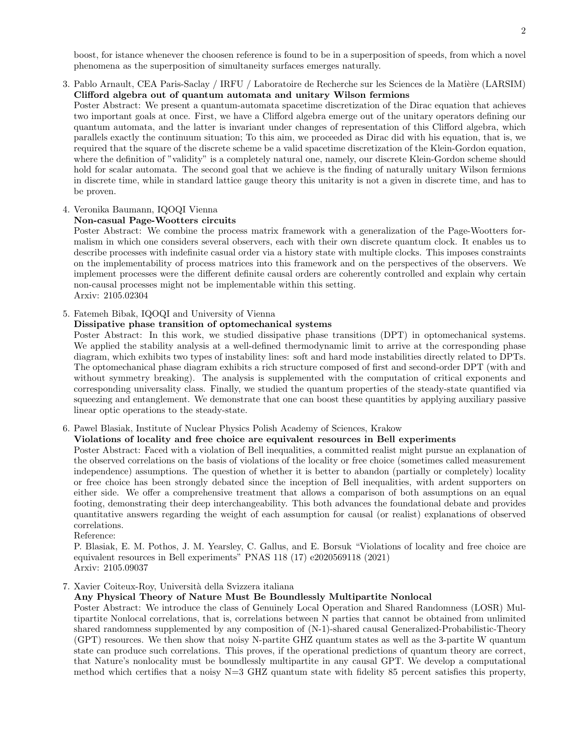boost, for istance whenever the choosen reference is found to be in a superposition of speeds, from which a novel phenomena as the superposition of simultaneity surfaces emerges naturally.

3. Pablo Arnault, CEA Paris-Saclay / IRFU / Laboratoire de Recherche sur les Sciences de la Matière (LARSIM) Clifford algebra out of quantum automata and unitary Wilson fermions

Poster Abstract: We present a quantum-automata spacetime discretization of the Dirac equation that achieves two important goals at once. First, we have a Clifford algebra emerge out of the unitary operators defining our quantum automata, and the latter is invariant under changes of representation of this Clifford algebra, which parallels exactly the continuum situation; To this aim, we proceeded as Dirac did with his equation, that is, we required that the square of the discrete scheme be a valid spacetime discretization of the Klein-Gordon equation, where the definition of "validity" is a completely natural one, namely, our discrete Klein-Gordon scheme should hold for scalar automata. The second goal that we achieve is the finding of naturally unitary Wilson fermions in discrete time, while in standard lattice gauge theory this unitarity is not a given in discrete time, and has to be proven.

# 4. Veronika Baumann, IQOQI Vienna

# Non-casual Page-Wootters circuits

Poster Abstract: We combine the process matrix framework with a generalization of the Page-Wootters formalism in which one considers several observers, each with their own discrete quantum clock. It enables us to describe processes with indefinite casual order via a history state with multiple clocks. This imposes constraints on the implementability of process matrices into this framework and on the perspectives of the observers. We implement processes were the different definite causal orders are coherently controlled and explain why certain non-causal processes might not be implementable within this setting. Arxiv: 2105.02304

# 5. Fatemeh Bibak, IQOQI and University of Vienna

## Dissipative phase transition of optomechanical systems

Poster Abstract: In this work, we studied dissipative phase transitions (DPT) in optomechanical systems. We applied the stability analysis at a well-defined thermodynamic limit to arrive at the corresponding phase diagram, which exhibits two types of instability lines: soft and hard mode instabilities directly related to DPTs. The optomechanical phase diagram exhibits a rich structure composed of first and second-order DPT (with and without symmetry breaking). The analysis is supplemented with the computation of critical exponents and corresponding universality class. Finally, we studied the quantum properties of the steady-state quantified via squeezing and entanglement. We demonstrate that one can boost these quantities by applying auxiliary passive linear optic operations to the steady-state.

# 6. Pawel Blasiak, Institute of Nuclear Physics Polish Academy of Sciences, Krakow

# Violations of locality and free choice are equivalent resources in Bell experiments

Poster Abstract: Faced with a violation of Bell inequalities, a committed realist might pursue an explanation of the observed correlations on the basis of violations of the locality or free choice (sometimes called measurement independence) assumptions. The question of whether it is better to abandon (partially or completely) locality or free choice has been strongly debated since the inception of Bell inequalities, with ardent supporters on either side. We offer a comprehensive treatment that allows a comparison of both assumptions on an equal footing, demonstrating their deep interchangeability. This both advances the foundational debate and provides quantitative answers regarding the weight of each assumption for causal (or realist) explanations of observed correlations.

Reference:

P. Blasiak, E. M. Pothos, J. M. Yearsley, C. Gallus, and E. Borsuk "Violations of locality and free choice are equivalent resources in Bell experiments" PNAS 118 (17) e2020569118 (2021) Arxiv: 2105.09037

# 7. Xavier Coiteux-Roy, Università della Svizzera italiana

# Any Physical Theory of Nature Must Be Boundlessly Multipartite Nonlocal

Poster Abstract: We introduce the class of Genuinely Local Operation and Shared Randomness (LOSR) Multipartite Nonlocal correlations, that is, correlations between N parties that cannot be obtained from unlimited shared randomness supplemented by any composition of (N-1)-shared causal Generalized-Probabilistic-Theory (GPT) resources. We then show that noisy N-partite GHZ quantum states as well as the 3-partite W quantum state can produce such correlations. This proves, if the operational predictions of quantum theory are correct, that Nature's nonlocality must be boundlessly multipartite in any causal GPT. We develop a computational method which certifies that a noisy  $N=3$  GHZ quantum state with fidelity 85 percent satisfies this property,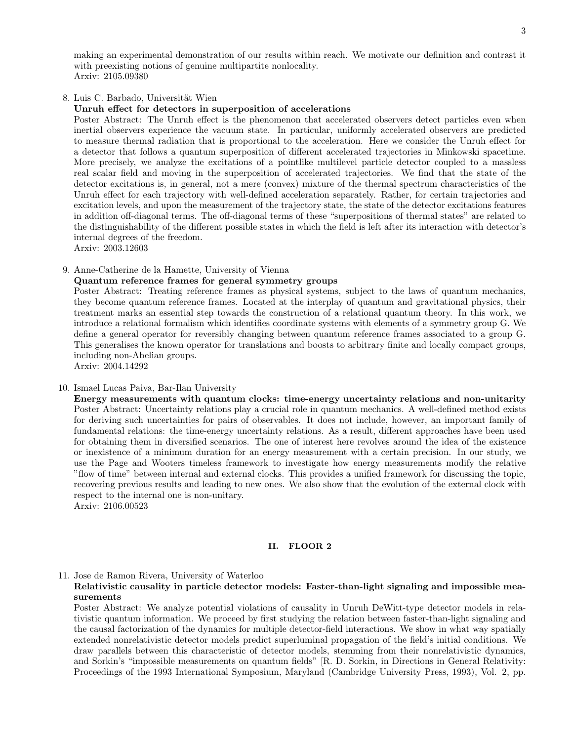making an experimental demonstration of our results within reach. We motivate our definition and contrast it with preexisting notions of genuine multipartite nonlocality. Arxiv: 2105.09380

# 8. Luis C. Barbado, Universität Wien

## Unruh effect for detectors in superposition of accelerations

Poster Abstract: The Unruh effect is the phenomenon that accelerated observers detect particles even when inertial observers experience the vacuum state. In particular, uniformly accelerated observers are predicted to measure thermal radiation that is proportional to the acceleration. Here we consider the Unruh effect for a detector that follows a quantum superposition of different accelerated trajectories in Minkowski spacetime. More precisely, we analyze the excitations of a pointlike multilevel particle detector coupled to a massless real scalar field and moving in the superposition of accelerated trajectories. We find that the state of the detector excitations is, in general, not a mere (convex) mixture of the thermal spectrum characteristics of the Unruh effect for each trajectory with well-defined acceleration separately. Rather, for certain trajectories and excitation levels, and upon the measurement of the trajectory state, the state of the detector excitations features in addition off-diagonal terms. The off-diagonal terms of these "superpositions of thermal states" are related to the distinguishability of the different possible states in which the field is left after its interaction with detector's internal degrees of the freedom.

Arxiv: 2003.12603

## 9. Anne-Catherine de la Hamette, University of Vienna

### Quantum reference frames for general symmetry groups

Poster Abstract: Treating reference frames as physical systems, subject to the laws of quantum mechanics, they become quantum reference frames. Located at the interplay of quantum and gravitational physics, their treatment marks an essential step towards the construction of a relational quantum theory. In this work, we introduce a relational formalism which identifies coordinate systems with elements of a symmetry group G. We define a general operator for reversibly changing between quantum reference frames associated to a group G. This generalises the known operator for translations and boosts to arbitrary finite and locally compact groups, including non-Abelian groups.

Arxiv: 2004.14292

### 10. Ismael Lucas Paiva, Bar-Ilan University

Energy measurements with quantum clocks: time-energy uncertainty relations and non-unitarity Poster Abstract: Uncertainty relations play a crucial role in quantum mechanics. A well-defined method exists for deriving such uncertainties for pairs of observables. It does not include, however, an important family of fundamental relations: the time-energy uncertainty relations. As a result, different approaches have been used for obtaining them in diversified scenarios. The one of interest here revolves around the idea of the existence or inexistence of a minimum duration for an energy measurement with a certain precision. In our study, we use the Page and Wooters timeless framework to investigate how energy measurements modify the relative "flow of time" between internal and external clocks. This provides a unified framework for discussing the topic, recovering previous results and leading to new ones. We also show that the evolution of the external clock with respect to the internal one is non-unitary. Arxiv: 2106.00523

# <span id="page-2-0"></span>II. FLOOR 2

# 11. Jose de Ramon Rivera, University of Waterloo

## Relativistic causality in particle detector models: Faster-than-light signaling and impossible measurements

Poster Abstract: We analyze potential violations of causality in Unruh DeWitt-type detector models in relativistic quantum information. We proceed by first studying the relation between faster-than-light signaling and the causal factorization of the dynamics for multiple detector-field interactions. We show in what way spatially extended nonrelativistic detector models predict superluminal propagation of the field's initial conditions. We draw parallels between this characteristic of detector models, stemming from their nonrelativistic dynamics, and Sorkin's "impossible measurements on quantum fields" [R. D. Sorkin, in Directions in General Relativity: Proceedings of the 1993 International Symposium, Maryland (Cambridge University Press, 1993), Vol. 2, pp.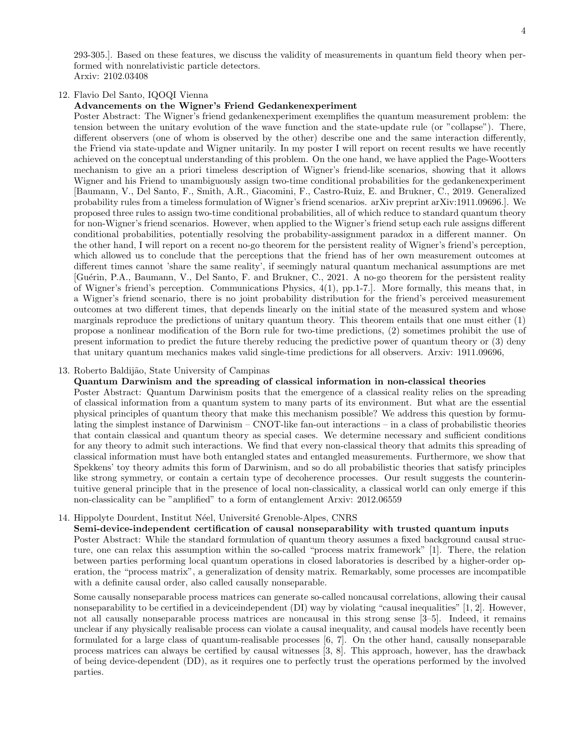293-305.]. Based on these features, we discuss the validity of measurements in quantum field theory when performed with nonrelativistic particle detectors. Arxiv: 2102.03408

### 12. Flavio Del Santo, IQOQI Vienna

#### Advancements on the Wigner's Friend Gedankenexperiment

Poster Abstract: The Wigner's friend gedankenexperiment exemplifies the quantum measurement problem: the tension between the unitary evolution of the wave function and the state-update rule (or "collapse"). There, different observers (one of whom is observed by the other) describe one and the same interaction differently, the Friend via state-update and Wigner unitarily. In my poster I will report on recent results we have recently achieved on the conceptual understanding of this problem. On the one hand, we have applied the Page-Wootters mechanism to give an a priori timeless description of Wigner's friend-like scenarios, showing that it allows Wigner and his Friend to unambiguously assign two-time conditional probabilities for the gedankenexperiment [Baumann, V., Del Santo, F., Smith, A.R., Giacomini, F., Castro-Ruiz, E. and Brukner, C., 2019. Generalized probability rules from a timeless formulation of Wigner's friend scenarios. arXiv preprint arXiv:1911.09696.]. We proposed three rules to assign two-time conditional probabilities, all of which reduce to standard quantum theory for non-Wigner's friend scenarios. However, when applied to the Wigner's friend setup each rule assigns different conditional probabilities, potentially resolving the probability-assignment paradox in a different manner. On the other hand, I will report on a recent no-go theorem for the persistent reality of Wigner's friend's perception, which allowed us to conclude that the perceptions that the friend has of her own measurement outcomes at different times cannot 'share the same reality', if seemingly natural quantum mechanical assumptions are met [Guérin, P.A., Baumann, V., Del Santo, F. and Brukner, C., 2021. A no-go theorem for the persistent reality of Wigner's friend's perception. Communications Physics, 4(1), pp.1-7.]. More formally, this means that, in a Wigner's friend scenario, there is no joint probability distribution for the friend's perceived measurement outcomes at two different times, that depends linearly on the initial state of the measured system and whose marginals reproduce the predictions of unitary quantum theory. This theorem entails that one must either (1) propose a nonlinear modification of the Born rule for two-time predictions, (2) sometimes prohibit the use of present information to predict the future thereby reducing the predictive power of quantum theory or (3) deny that unitary quantum mechanics makes valid single-time predictions for all observers. Arxiv: 1911.09696,

# 13. Roberto Baldijão, State University of Campinas

# Quantum Darwinism and the spreading of classical information in non-classical theories

Poster Abstract: Quantum Darwinism posits that the emergence of a classical reality relies on the spreading of classical information from a quantum system to many parts of its environment. But what are the essential physical principles of quantum theory that make this mechanism possible? We address this question by formulating the simplest instance of Darwinism – CNOT-like fan-out interactions – in a class of probabilistic theories that contain classical and quantum theory as special cases. We determine necessary and sufficient conditions for any theory to admit such interactions. We find that every non-classical theory that admits this spreading of classical information must have both entangled states and entangled measurements. Furthermore, we show that Spekkens' toy theory admits this form of Darwinism, and so do all probabilistic theories that satisfy principles like strong symmetry, or contain a certain type of decoherence processes. Our result suggests the counterintuitive general principle that in the presence of local non-classicality, a classical world can only emerge if this non-classicality can be "amplified" to a form of entanglement Arxiv: 2012.06559

### 14. Hippolyte Dourdent, Institut Néel, Université Grenoble-Alpes, CNRS

Semi-device-independent certification of causal nonseparability with trusted quantum inputs Poster Abstract: While the standard formulation of quantum theory assumes a fixed background causal structure, one can relax this assumption within the so-called "process matrix framework" [1]. There, the relation between parties performing local quantum operations in closed laboratories is described by a higher-order operation, the "process matrix", a generalization of density matrix. Remarkably, some processes are incompatible with a definite causal order, also called causally nonseparable.

Some causally nonseparable process matrices can generate so-called noncausal correlations, allowing their causal nonseparability to be certified in a deviceindependent (DI) way by violating "causal inequalities" [1, 2]. However, not all causally nonseparable process matrices are noncausal in this strong sense [3–5]. Indeed, it remains unclear if any physically realisable process can violate a causal inequality, and causal models have recently been formulated for a large class of quantum-realisable processes [6, 7]. On the other hand, causally nonseparable process matrices can always be certified by causal witnesses [3, 8]. This approach, however, has the drawback of being device-dependent (DD), as it requires one to perfectly trust the operations performed by the involved parties.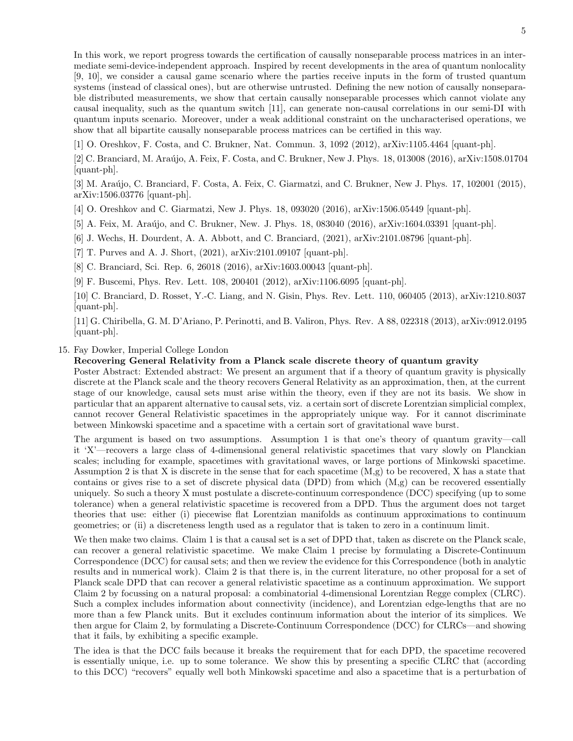In this work, we report progress towards the certification of causally nonseparable process matrices in an intermediate semi-device-independent approach. Inspired by recent developments in the area of quantum nonlocality [9, 10], we consider a causal game scenario where the parties receive inputs in the form of trusted quantum systems (instead of classical ones), but are otherwise untrusted. Defining the new notion of causally nonseparable distributed measurements, we show that certain causally nonseparable processes which cannot violate any causal inequality, such as the quantum switch [11], can generate non-causal correlations in our semi-DI with quantum inputs scenario. Moreover, under a weak additional constraint on the uncharacterised operations, we show that all bipartite causally nonseparable process matrices can be certified in this way.

[1] O. Oreshkov, F. Costa, and C. Brukner, Nat. Commun. 3, 1092 (2012), arXiv:1105.4464 [quant-ph].

[2] C. Branciard, M. Araújo, A. Feix, F. Costa, and C. Brukner, New J. Phys. 18, 013008 (2016), arXiv:1508.01704 [quant-ph].

[3] M. Araújo, C. Branciard, F. Costa, A. Feix, C. Giarmatzi, and C. Brukner, New J. Phys. 17, 102001 (2015), arXiv:1506.03776 [quant-ph].

[4] O. Oreshkov and C. Giarmatzi, New J. Phys. 18, 093020 (2016), arXiv:1506.05449 [quant-ph].

[5] A. Feix, M. Araújo, and C. Brukner, New. J. Phys. 18, 083040 (2016), arXiv:1604.03391 [quant-ph].

[6] J. Wechs, H. Dourdent, A. A. Abbott, and C. Branciard, (2021), arXiv:2101.08796 [quant-ph].

[7] T. Purves and A. J. Short, (2021), arXiv:2101.09107 [quant-ph].

[8] C. Branciard, Sci. Rep. 6, 26018 (2016), arXiv:1603.00043 [quant-ph].

[9] F. Buscemi, Phys. Rev. Lett. 108, 200401 (2012), arXiv:1106.6095 [quant-ph].

[10] C. Branciard, D. Rosset, Y.-C. Liang, and N. Gisin, Phys. Rev. Lett. 110, 060405 (2013), arXiv:1210.8037 [quant-ph].

[11] G. Chiribella, G. M. D'Ariano, P. Perinotti, and B. Valiron, Phys. Rev. A 88, 022318 (2013), arXiv:0912.0195 [quant-ph].

# 15. Fay Dowker, Imperial College London

Recovering General Relativity from a Planck scale discrete theory of quantum gravity

Poster Abstract: Extended abstract: We present an argument that if a theory of quantum gravity is physically discrete at the Planck scale and the theory recovers General Relativity as an approximation, then, at the current stage of our knowledge, causal sets must arise within the theory, even if they are not its basis. We show in particular that an apparent alternative to causal sets, viz. a certain sort of discrete Lorentzian simplicial complex, cannot recover General Relativistic spacetimes in the appropriately unique way. For it cannot discriminate between Minkowski spacetime and a spacetime with a certain sort of gravitational wave burst.

The argument is based on two assumptions. Assumption 1 is that one's theory of quantum gravity—call it 'X'—recovers a large class of 4-dimensional general relativistic spacetimes that vary slowly on Planckian scales; including for example, spacetimes with gravitational waves, or large portions of Minkowski spacetime. Assumption 2 is that X is discrete in the sense that for each spacetime  $(M,g)$  to be recovered, X has a state that contains or gives rise to a set of discrete physical data (DPD) from which (M,g) can be recovered essentially uniquely. So such a theory X must postulate a discrete-continuum correspondence (DCC) specifying (up to some tolerance) when a general relativistic spacetime is recovered from a DPD. Thus the argument does not target theories that use: either (i) piecewise flat Lorentzian manifolds as continuum approximations to continuum geometries; or (ii) a discreteness length used as a regulator that is taken to zero in a continuum limit.

We then make two claims. Claim 1 is that a causal set is a set of DPD that, taken as discrete on the Planck scale, can recover a general relativistic spacetime. We make Claim 1 precise by formulating a Discrete-Continuum Correspondence (DCC) for causal sets; and then we review the evidence for this Correspondence (both in analytic results and in numerical work). Claim 2 is that there is, in the current literature, no other proposal for a set of Planck scale DPD that can recover a general relativistic spacetime as a continuum approximation. We support Claim 2 by focussing on a natural proposal: a combinatorial 4-dimensional Lorentzian Regge complex (CLRC). Such a complex includes information about connectivity (incidence), and Lorentzian edge-lengths that are no more than a few Planck units. But it excludes continuum information about the interior of its simplices. We then argue for Claim 2, by formulating a Discrete-Continuum Correspondence (DCC) for CLRCs—and showing that it fails, by exhibiting a specific example.

The idea is that the DCC fails because it breaks the requirement that for each DPD, the spacetime recovered is essentially unique, i.e. up to some tolerance. We show this by presenting a specific CLRC that (according to this DCC) "recovers" equally well both Minkowski spacetime and also a spacetime that is a perturbation of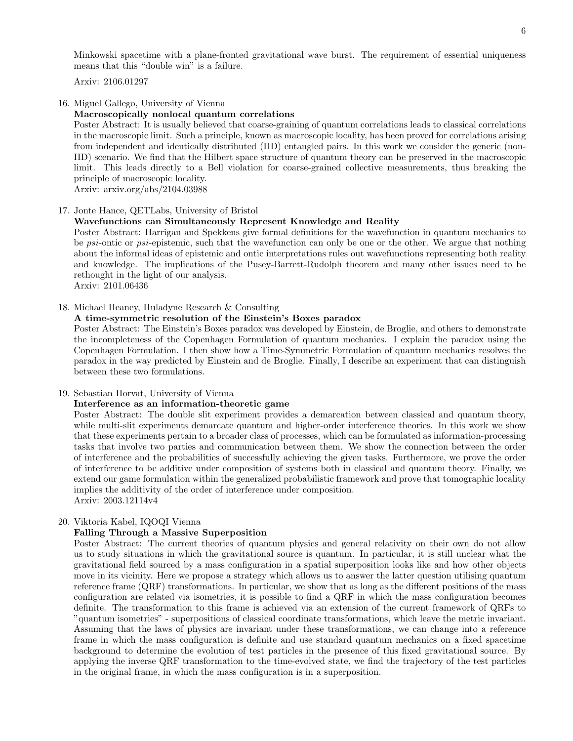Minkowski spacetime with a plane-fronted gravitational wave burst. The requirement of essential uniqueness means that this "double win" is a failure.

Arxiv: 2106.01297

### 16. Miguel Gallego, University of Vienna

### Macroscopically nonlocal quantum correlations

Poster Abstract: It is usually believed that coarse-graining of quantum correlations leads to classical correlations in the macroscopic limit. Such a principle, known as macroscopic locality, has been proved for correlations arising from independent and identically distributed (IID) entangled pairs. In this work we consider the generic (non-IID) scenario. We find that the Hilbert space structure of quantum theory can be preserved in the macroscopic limit. This leads directly to a Bell violation for coarse-grained collective measurements, thus breaking the principle of macroscopic locality.

Arxiv: arxiv.org/abs/2104.03988

### 17. Jonte Hance, QETLabs, University of Bristol

### Wavefunctions can Simultaneously Represent Knowledge and Reality

Poster Abstract: Harrigan and Spekkens give formal definitions for the wavefunction in quantum mechanics to be *psi*-ontic or *psi*-epistemic, such that the wavefunction can only be one or the other. We argue that nothing about the informal ideas of epistemic and ontic interpretations rules out wavefunctions representing both reality and knowledge. The implications of the Pusey-Barrett-Rudolph theorem and many other issues need to be rethought in the light of our analysis.

Arxiv: 2101.06436

## 18. Michael Heaney, Huladyne Research & Consulting

### A time-symmetric resolution of the Einstein's Boxes paradox

Poster Abstract: The Einstein's Boxes paradox was developed by Einstein, de Broglie, and others to demonstrate the incompleteness of the Copenhagen Formulation of quantum mechanics. I explain the paradox using the Copenhagen Formulation. I then show how a Time-Symmetric Formulation of quantum mechanics resolves the paradox in the way predicted by Einstein and de Broglie. Finally, I describe an experiment that can distinguish between these two formulations.

### 19. Sebastian Horvat, University of Vienna

### Interference as an information-theoretic game

Poster Abstract: The double slit experiment provides a demarcation between classical and quantum theory, while multi-slit experiments demarcate quantum and higher-order interference theories. In this work we show that these experiments pertain to a broader class of processes, which can be formulated as information-processing tasks that involve two parties and communication between them. We show the connection between the order of interference and the probabilities of successfully achieving the given tasks. Furthermore, we prove the order of interference to be additive under composition of systems both in classical and quantum theory. Finally, we extend our game formulation within the generalized probabilistic framework and prove that tomographic locality implies the additivity of the order of interference under composition. Arxiv: 2003.12114v4

#### 20. Viktoria Kabel, IQOQI Vienna

#### Falling Through a Massive Superposition

Poster Abstract: The current theories of quantum physics and general relativity on their own do not allow us to study situations in which the gravitational source is quantum. In particular, it is still unclear what the gravitational field sourced by a mass configuration in a spatial superposition looks like and how other objects move in its vicinity. Here we propose a strategy which allows us to answer the latter question utilising quantum reference frame (QRF) transformations. In particular, we show that as long as the different positions of the mass configuration are related via isometries, it is possible to find a QRF in which the mass configuration becomes definite. The transformation to this frame is achieved via an extension of the current framework of QRFs to "quantum isometries" - superpositions of classical coordinate transformations, which leave the metric invariant. Assuming that the laws of physics are invariant under these transformations, we can change into a reference frame in which the mass configuration is definite and use standard quantum mechanics on a fixed spacetime background to determine the evolution of test particles in the presence of this fixed gravitational source. By applying the inverse QRF transformation to the time-evolved state, we find the trajectory of the test particles in the original frame, in which the mass configuration is in a superposition.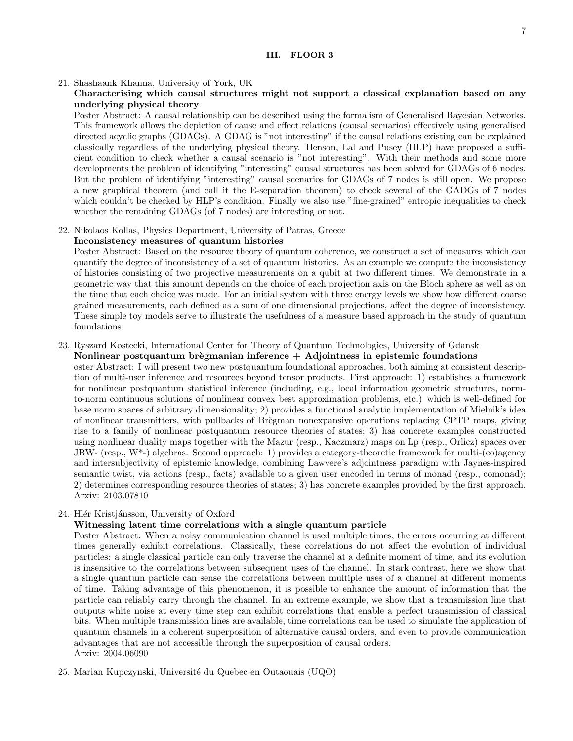# <span id="page-6-0"></span>Characterising which causal structures might not support a classical explanation based on any underlying physical theory

Poster Abstract: A causal relationship can be described using the formalism of Generalised Bayesian Networks. This framework allows the depiction of cause and effect relations (causal scenarios) effectively using generalised directed acyclic graphs (GDAGs). A GDAG is "not interesting" if the causal relations existing can be explained classically regardless of the underlying physical theory. Henson, Lal and Pusey (HLP) have proposed a sufficient condition to check whether a causal scenario is "not interesting". With their methods and some more developments the problem of identifying "interesting" causal structures has been solved for GDAGs of 6 nodes. But the problem of identifying "interesting" causal scenarios for GDAGs of 7 nodes is still open. We propose a new graphical theorem (and call it the E-separation theorem) to check several of the GADGs of 7 nodes which couldn't be checked by HLP's condition. Finally we also use "fine-grained" entropic inequalities to check whether the remaining GDAGs (of 7 nodes) are interesting or not.

### 22. Nikolaos Kollas, Physics Department, University of Patras, Greece

### Inconsistency measures of quantum histories

Poster Abstract: Based on the resource theory of quantum coherence, we construct a set of measures which can quantify the degree of inconsistency of a set of quantum histories. As an example we compute the inconsistency of histories consisting of two projective measurements on a qubit at two different times. We demonstrate in a geometric way that this amount depends on the choice of each projection axis on the Bloch sphere as well as on the time that each choice was made. For an initial system with three energy levels we show how different coarse grained measurements, each defined as a sum of one dimensional projections, affect the degree of inconsistency. These simple toy models serve to illustrate the usefulness of a measure based approach in the study of quantum foundations

### 23. Ryszard Kostecki, International Center for Theory of Quantum Technologies, University of Gdansk

## Nonlinear postquantum brègmanian inference  $+$  Adjointness in epistemic foundations

oster Abstract: I will present two new postquantum foundational approaches, both aiming at consistent description of multi-user inference and resources beyond tensor products. First approach: 1) establishes a framework for nonlinear postquantum statistical inference (including, e.g., local information geometric structures, normto-norm continuous solutions of nonlinear convex best approximation problems, etc.) which is well-defined for base norm spaces of arbitrary dimensionality; 2) provides a functional analytic implementation of Mielnik's idea of nonlinear transmitters, with pullbacks of Brègman nonexpansive operations replacing CPTP maps, giving rise to a family of nonlinear postquantum resource theories of states; 3) has concrete examples constructed using nonlinear duality maps together with the Mazur (resp., Kaczmarz) maps on Lp (resp., Orlicz) spaces over JBW- (resp.,  $W^*$ -) algebras. Second approach: 1) provides a category-theoretic framework for multi-(co)agency and intersubjectivity of epistemic knowledge, combining Lawvere's adjointness paradigm with Jaynes-inspired semantic twist, via actions (resp., facts) available to a given user encoded in terms of monad (resp., comonad); 2) determines corresponding resource theories of states; 3) has concrete examples provided by the first approach. Arxiv: 2103.07810

# 24. Hlér Kristjánsson, University of Oxford

# Witnessing latent time correlations with a single quantum particle

Poster Abstract: When a noisy communication channel is used multiple times, the errors occurring at different times generally exhibit correlations. Classically, these correlations do not affect the evolution of individual particles: a single classical particle can only traverse the channel at a definite moment of time, and its evolution is insensitive to the correlations between subsequent uses of the channel. In stark contrast, here we show that a single quantum particle can sense the correlations between multiple uses of a channel at different moments of time. Taking advantage of this phenomenon, it is possible to enhance the amount of information that the particle can reliably carry through the channel. In an extreme example, we show that a transmission line that outputs white noise at every time step can exhibit correlations that enable a perfect transmission of classical bits. When multiple transmission lines are available, time correlations can be used to simulate the application of quantum channels in a coherent superposition of alternative causal orders, and even to provide communication advantages that are not accessible through the superposition of causal orders. Arxiv: 2004.06090

25. Marian Kupczynski, Université du Quebec en Outaouais (UQO)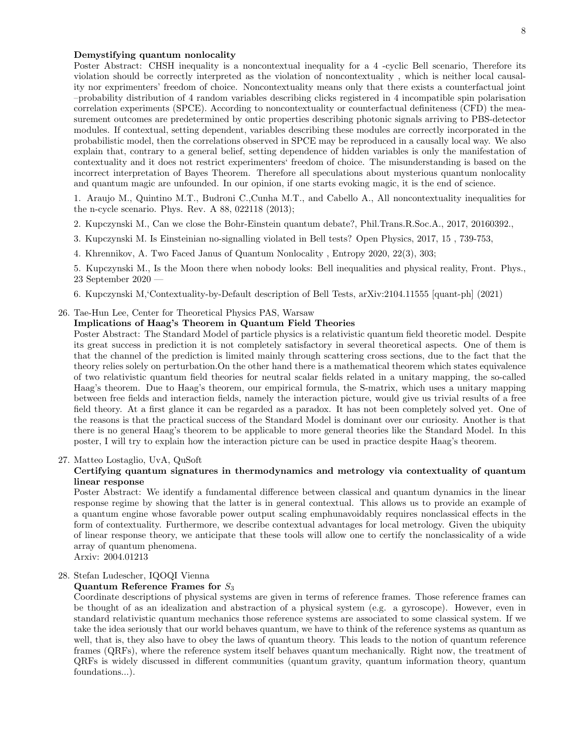## Demystifying quantum nonlocality

Poster Abstract: CHSH inequality is a noncontextual inequality for a 4 -cyclic Bell scenario, Therefore its violation should be correctly interpreted as the violation of noncontextuality , which is neither local causality nor exprimenters' freedom of choice. Noncontextuality means only that there exists a counterfactual joint –probability distribution of 4 random variables describing clicks registered in 4 incompatible spin polarisation correlation experiments (SPCE). According to noncontextuality or counterfactual definiteness (CFD) the measurement outcomes are predetermined by ontic properties describing photonic signals arriving to PBS-detector modules. If contextual, setting dependent, variables describing these modules are correctly incorporated in the probabilistic model, then the correlations observed in SPCE may be reproduced in a causally local way. We also explain that, contrary to a general belief, setting dependence of hidden variables is only the manifestation of contextuality and it does not restrict experimenters' freedom of choice. The misunderstanding is based on the incorrect interpretation of Bayes Theorem. Therefore all speculations about mysterious quantum nonlocality and quantum magic are unfounded. In our opinion, if one starts evoking magic, it is the end of science.

1. Araujo M., Quintino M.T., Budroni C.,Cunha M.T., and Cabello A., All noncontextuality inequalities for the n-cycle scenario. Phys. Rev. A 88, 022118 (2013);

- 2. Kupczynski M., Can we close the Bohr-Einstein quantum debate?, Phil.Trans.R.Soc.A., 2017, 20160392.,
- 3. Kupczynski M. Is Einsteinian no-signalling violated in Bell tests? Open Physics, 2017, 15 , 739-753,
- 4. Khrennikov, A. Two Faced Janus of Quantum Nonlocality , Entropy 2020, 22(3), 303;

5. Kupczynski M., Is the Moon there when nobody looks: Bell inequalities and physical reality, Front. Phys., 23 September 2020 —

6. Kupczynski M,'Contextuality-by-Default description of Bell Tests, arXiv:2104.11555 [quant-ph] (2021)

# 26. Tae-Hun Lee, Center for Theoretical Physics PAS, Warsaw

# Implications of Haag's Theorem in Quantum Field Theories

Poster Abstract: The Standard Model of particle physics is a relativistic quantum field theoretic model. Despite its great success in prediction it is not completely satisfactory in several theoretical aspects. One of them is that the channel of the prediction is limited mainly through scattering cross sections, due to the fact that the theory relies solely on perturbation.On the other hand there is a mathematical theorem which states equivalence of two relativistic quantum field theories for neutral scalar fields related in a unitary mapping, the so-called Haag's theorem. Due to Haag's theorem, our empirical formula, the S-matrix, which uses a unitary mapping between free fields and interaction fields, namely the interaction picture, would give us trivial results of a free field theory. At a first glance it can be regarded as a paradox. It has not been completely solved yet. One of the reasons is that the practical success of the Standard Model is dominant over our curiosity. Another is that there is no general Haag's theorem to be applicable to more general theories like the Standard Model. In this poster, I will try to explain how the interaction picture can be used in practice despite Haag's theorem.

### 27. Matteo Lostaglio, UvA, QuSoft

# Certifying quantum signatures in thermodynamics and metrology via contextuality of quantum linear response

Poster Abstract: We identify a fundamental difference between classical and quantum dynamics in the linear response regime by showing that the latter is in general contextual. This allows us to provide an example of a quantum engine whose favorable power output scaling emphunavoidably requires nonclassical effects in the form of contextuality. Furthermore, we describe contextual advantages for local metrology. Given the ubiquity of linear response theory, we anticipate that these tools will allow one to certify the nonclassicality of a wide array of quantum phenomena.

Arxiv: 2004.01213

# 28. Stefan Ludescher, IQOQI Vienna

## Quantum Reference Frames for  $S_3$

Coordinate descriptions of physical systems are given in terms of reference frames. Those reference frames can be thought of as an idealization and abstraction of a physical system (e.g. a gyroscope). However, even in standard relativistic quantum mechanics those reference systems are associated to some classical system. If we take the idea seriously that our world behaves quantum, we have to think of the reference systems as quantum as well, that is, they also have to obey the laws of quantum theory. This leads to the notion of quantum reference frames (QRFs), where the reference system itself behaves quantum mechanically. Right now, the treatment of QRFs is widely discussed in different communities (quantum gravity, quantum information theory, quantum foundations...).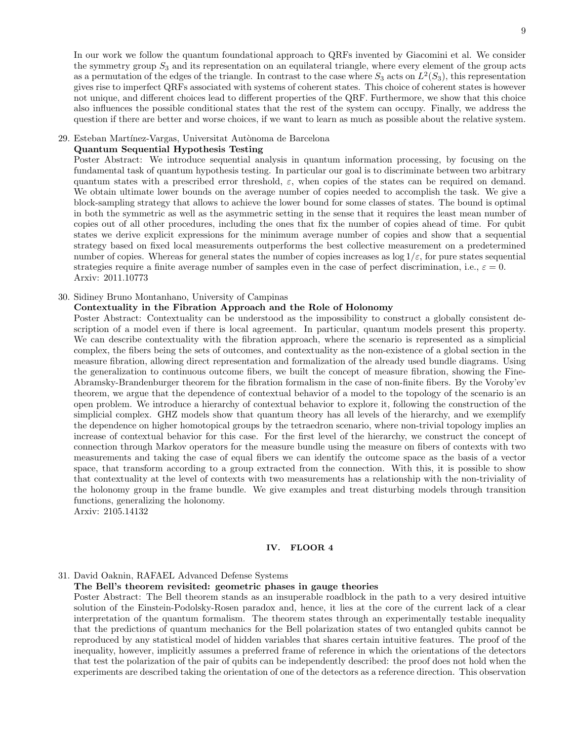In our work we follow the quantum foundational approach to QRFs invented by Giacomini et al. We consider the symmetry group  $S_3$  and its representation on an equilateral triangle, where every element of the group acts as a permutation of the edges of the triangle. In contrast to the case where  $S_3$  acts on  $L^2(S_3)$ , this representation gives rise to imperfect QRFs associated with systems of coherent states. This choice of coherent states is however not unique, and different choices lead to different properties of the QRF. Furthermore, we show that this choice also influences the possible conditional states that the rest of the system can occupy. Finally, we address the question if there are better and worse choices, if we want to learn as much as possible about the relative system.

## 29. Esteban Martínez-Vargas, Universitat Autònoma de Barcelona

# Quantum Sequential Hypothesis Testing

Poster Abstract: We introduce sequential analysis in quantum information processing, by focusing on the fundamental task of quantum hypothesis testing. In particular our goal is to discriminate between two arbitrary quantum states with a prescribed error threshold,  $\varepsilon$ , when copies of the states can be required on demand. We obtain ultimate lower bounds on the average number of copies needed to accomplish the task. We give a block-sampling strategy that allows to achieve the lower bound for some classes of states. The bound is optimal in both the symmetric as well as the asymmetric setting in the sense that it requires the least mean number of copies out of all other procedures, including the ones that fix the number of copies ahead of time. For qubit states we derive explicit expressions for the minimum average number of copies and show that a sequential strategy based on fixed local measurements outperforms the best collective measurement on a predetermined number of copies. Whereas for general states the number of copies increases as  $\log 1/\varepsilon$ , for pure states sequential strategies require a finite average number of samples even in the case of perfect discrimination, i.e.,  $\varepsilon = 0$ . Arxiv: 2011.10773

### 30. Sidiney Bruno Montanhano, University of Campinas

# Contextuality in the Fibration Approach and the Role of Holonomy

Poster Abstract: Contextuality can be understood as the impossibility to construct a globally consistent description of a model even if there is local agreement. In particular, quantum models present this property. We can describe contextuality with the fibration approach, where the scenario is represented as a simplicial complex, the fibers being the sets of outcomes, and contextuality as the non-existence of a global section in the measure fibration, allowing direct representation and formalization of the already used bundle diagrams. Using the generalization to continuous outcome fibers, we built the concept of measure fibration, showing the Fine-Abramsky-Brandenburger theorem for the fibration formalism in the case of non-finite fibers. By the Voroby'ev theorem, we argue that the dependence of contextual behavior of a model to the topology of the scenario is an open problem. We introduce a hierarchy of contextual behavior to explore it, following the construction of the simplicial complex. GHZ models show that quantum theory has all levels of the hierarchy, and we exemplify the dependence on higher homotopical groups by the tetraedron scenario, where non-trivial topology implies an increase of contextual behavior for this case. For the first level of the hierarchy, we construct the concept of connection through Markov operators for the measure bundle using the measure on fibers of contexts with two measurements and taking the case of equal fibers we can identify the outcome space as the basis of a vector space, that transform according to a group extracted from the connection. With this, it is possible to show that contextuality at the level of contexts with two measurements has a relationship with the non-triviality of the holonomy group in the frame bundle. We give examples and treat disturbing models through transition functions, generalizing the holonomy.

Arxiv: 2105.14132

### <span id="page-8-0"></span>IV. FLOOR 4

# 31. David Oaknin, RAFAEL Advanced Defense Systems

The Bell's theorem revisited: geometric phases in gauge theories

Poster Abstract: The Bell theorem stands as an insuperable roadblock in the path to a very desired intuitive solution of the Einstein-Podolsky-Rosen paradox and, hence, it lies at the core of the current lack of a clear interpretation of the quantum formalism. The theorem states through an experimentally testable inequality that the predictions of quantum mechanics for the Bell polarization states of two entangled qubits cannot be reproduced by any statistical model of hidden variables that shares certain intuitive features. The proof of the inequality, however, implicitly assumes a preferred frame of reference in which the orientations of the detectors that test the polarization of the pair of qubits can be independently described: the proof does not hold when the experiments are described taking the orientation of one of the detectors as a reference direction. This observation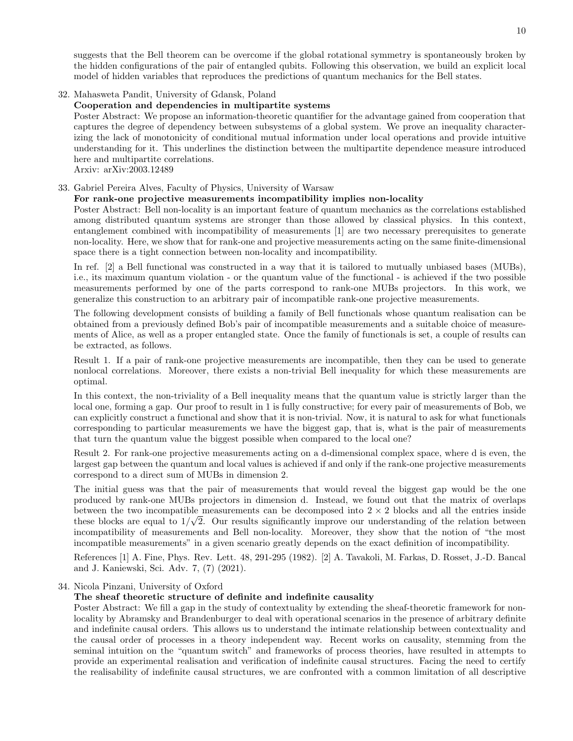suggests that the Bell theorem can be overcome if the global rotational symmetry is spontaneously broken by the hidden configurations of the pair of entangled qubits. Following this observation, we build an explicit local model of hidden variables that reproduces the predictions of quantum mechanics for the Bell states.

# 32. Mahasweta Pandit, University of Gdansk, Poland

# Cooperation and dependencies in multipartite systems

Poster Abstract: We propose an information-theoretic quantifier for the advantage gained from cooperation that captures the degree of dependency between subsystems of a global system. We prove an inequality characterizing the lack of monotonicity of conditional mutual information under local operations and provide intuitive understanding for it. This underlines the distinction between the multipartite dependence measure introduced here and multipartite correlations.

Arxiv: arXiv:2003.12489

## 33. Gabriel Pereira Alves, Faculty of Physics, University of Warsaw

## For rank-one projective measurements incompatibility implies non-locality

Poster Abstract: Bell non-locality is an important feature of quantum mechanics as the correlations established among distributed quantum systems are stronger than those allowed by classical physics. In this context, entanglement combined with incompatibility of measurements [1] are two necessary prerequisites to generate non-locality. Here, we show that for rank-one and projective measurements acting on the same finite-dimensional space there is a tight connection between non-locality and incompatibility.

In ref. [2] a Bell functional was constructed in a way that it is tailored to mutually unbiased bases (MUBs), i.e., its maximum quantum violation - or the quantum value of the functional - is achieved if the two possible measurements performed by one of the parts correspond to rank-one MUBs projectors. In this work, we generalize this construction to an arbitrary pair of incompatible rank-one projective measurements.

The following development consists of building a family of Bell functionals whose quantum realisation can be obtained from a previously defined Bob's pair of incompatible measurements and a suitable choice of measurements of Alice, as well as a proper entangled state. Once the family of functionals is set, a couple of results can be extracted, as follows.

Result 1. If a pair of rank-one projective measurements are incompatible, then they can be used to generate nonlocal correlations. Moreover, there exists a non-trivial Bell inequality for which these measurements are optimal.

In this context, the non-triviality of a Bell inequality means that the quantum value is strictly larger than the local one, forming a gap. Our proof to result in 1 is fully constructive; for every pair of measurements of Bob, we can explicitly construct a functional and show that it is non-trivial. Now, it is natural to ask for what functionals corresponding to particular measurements we have the biggest gap, that is, what is the pair of measurements that turn the quantum value the biggest possible when compared to the local one?

Result 2. For rank-one projective measurements acting on a d-dimensional complex space, where d is even, the largest gap between the quantum and local values is achieved if and only if the rank-one projective measurements correspond to a direct sum of MUBs in dimension 2.

The initial guess was that the pair of measurements that would reveal the biggest gap would be the one produced by rank-one MUBs projectors in dimension d. Instead, we found out that the matrix of overlaps between the two incompatible measurements can be decomposed into  $2 \times 2$  blocks and all the entries inside these blocks are equal to  $1/\sqrt{2}$ . Our results significantly improve our understanding of the relation between incompatibility of measurements and Bell non-locality. Moreover, they show that the notion of "the most incompatible measurements" in a given scenario greatly depends on the exact definition of incompatibility.

References [1] A. Fine, Phys. Rev. Lett. 48, 291-295 (1982). [2] A. Tavakoli, M. Farkas, D. Rosset, J.-D. Bancal and J. Kaniewski, Sci. Adv. 7, (7) (2021).

# 34. Nicola Pinzani, University of Oxford

## The sheaf theoretic structure of definite and indefinite causality

Poster Abstract: We fill a gap in the study of contextuality by extending the sheaf-theoretic framework for nonlocality by Abramsky and Brandenburger to deal with operational scenarios in the presence of arbitrary definite and indefinite causal orders. This allows us to understand the intimate relationship between contextuality and the causal order of processes in a theory independent way. Recent works on causality, stemming from the seminal intuition on the "quantum switch" and frameworks of process theories, have resulted in attempts to provide an experimental realisation and verification of indefinite causal structures. Facing the need to certify the realisability of indefinite causal structures, we are confronted with a common limitation of all descriptive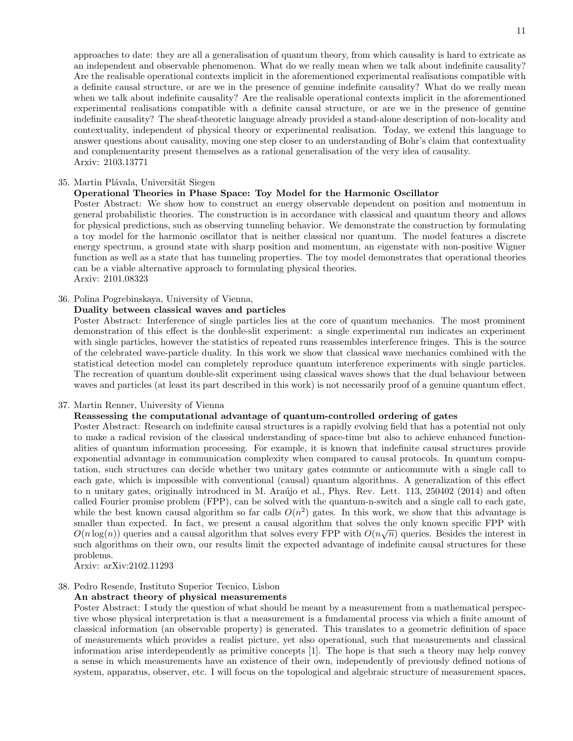approaches to date: they are all a generalisation of quantum theory, from which causality is hard to extricate as an independent and observable phenomenon. What do we really mean when we talk about indefinite causality? Are the realisable operational contexts implicit in the aforementioned experimental realisations compatible with a definite causal structure, or are we in the presence of genuine indefinite causality? What do we really mean when we talk about indefinite causality? Are the realisable operational contexts implicit in the aforementioned experimental realisations compatible with a definite causal structure, or are we in the presence of genuine indefinite causality? The sheaf-theoretic language already provided a stand-alone description of non-locality and contextuality, independent of physical theory or experimental realisation. Today, we extend this language to answer questions about causality, moving one step closer to an understanding of Bohr's claim that contextuality and complementarity present themselves as a rational generalisation of the very idea of causality. Arxiv: 2103.13771

### 35. Martin Plávala, Universität Siegen

### Operational Theories in Phase Space: Toy Model for the Harmonic Oscillator

Poster Abstract: We show how to construct an energy observable dependent on position and momentum in general probabilistic theories. The construction is in accordance with classical and quantum theory and allows for physical predictions, such as observing tunneling behavior. We demonstrate the construction by formulating a toy model for the harmonic oscillator that is neither classical nor quantum. The model features a discrete energy spectrum, a ground state with sharp position and momentum, an eigenstate with non-positive Wigner function as well as a state that has tunneling properties. The toy model demonstrates that operational theories can be a viable alternative approach to formulating physical theories. Arxiv: 2101.08323

### 36. Polina Pogrebinskaya, University of Vienna,

## Duality between classical waves and particles

Poster Abstract: Interference of single particles lies at the core of quantum mechanics. The most prominent demonstration of this effect is the double-slit experiment: a single experimental run indicates an experiment with single particles, however the statistics of repeated runs reassembles interference fringes. This is the source of the celebrated wave-particle duality. In this work we show that classical wave mechanics combined with the statistical detection model can completely reproduce quantum interference experiments with single particles. The recreation of quantum double-slit experiment using classical waves shows that the dual behaviour between waves and particles (at least its part described in this work) is not necessarily proof of a genuine quantum effect.

### 37. Martin Renner, University of Vienna

# Reassessing the computational advantage of quantum-controlled ordering of gates

Poster Abstract: Research on indefinite causal structures is a rapidly evolving field that has a potential not only to make a radical revision of the classical understanding of space-time but also to achieve enhanced functionalities of quantum information processing. For example, it is known that indefinite causal structures provide exponential advantage in communication complexity when compared to causal protocols. In quantum computation, such structures can decide whether two unitary gates commute or anticommute with a single call to each gate, which is impossible with conventional (causal) quantum algorithms. A generalization of this effect to n unitary gates, originally introduced in M. Araújo et al., Phys. Rev. Lett. 113, 250402 (2014) and often called Fourier promise problem (FPP), can be solved with the quantum-n-switch and a single call to each gate, while the best known causal algorithm so far calls  $O(n^2)$  gates. In this work, we show that this advantage is smaller than expected. In fact, we present a causal algorithm that solves the only known specific FPP with  $\alpha$  ( $\alpha$ )  $O(n \log(n))$  queries and a causal algorithm that solves every FPP with  $O(n \sqrt{n})$  queries. Besides the interest in such algorithms on their own, our results limit the expected advantage of indefinite causal structures for these problems.

Arxiv: arXiv:2102.11293

# 38. Pedro Resende, Instituto Superior Tecnico, Lisbon

## An abstract theory of physical measurements

Poster Abstract: I study the question of what should be meant by a measurement from a mathematical perspective whose physical interpretation is that a measurement is a fundamental process via which a finite amount of classical information (an observable property) is generated. This translates to a geometric definition of space of measurements which provides a realist picture, yet also operational, such that measurements and classical information arise interdependently as primitive concepts [1]. The hope is that such a theory may help convey a sense in which measurements have an existence of their own, independently of previously defined notions of system, apparatus, observer, etc. I will focus on the topological and algebraic structure of measurement spaces,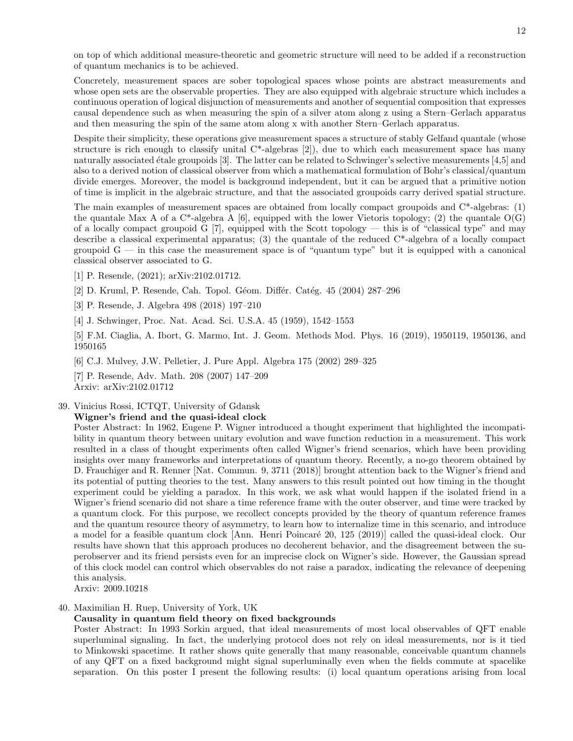on top of which additional measure-theoretic and geometric structure will need to be added if a reconstruction of quantum mechanics is to be achieved.

Concretely, measurement spaces are sober topological spaces whose points are abstract measurements and whose open sets are the observable properties. They are also equipped with algebraic structure which includes a continuous operation of logical disjunction of measurements and another of sequential composition that expresses causal dependence such as when measuring the spin of a silver atom along z using a Stern–Gerlach apparatus and then measuring the spin of the same atom along x with another Stern–Gerlach apparatus.

Despite their simplicity, these operations give measurement spaces a structure of stably Gelfand quantale (whose structure is rich enough to classify unital C\*-algebras [2]), due to which each measurement space has many naturally associated étale groupoids  $[3]$ . The latter can be related to Schwinger's selective measurements  $[4,5]$  and also to a derived notion of classical observer from which a mathematical formulation of Bohr's classical/quantum divide emerges. Moreover, the model is background independent, but it can be argued that a primitive notion of time is implicit in the algebraic structure, and that the associated groupoids carry derived spatial structure.

The main examples of measurement spaces are obtained from locally compact groupoids and  $C^*$ -algebras: (1) the quantale Max A of a  $C^*$ -algebra A [6], equipped with the lower Vietoris topology; (2) the quantale  $O(G)$ of a locally compact groupoid G [7], equipped with the Scott topology — this is of "classical type" and may describe a classical experimental apparatus; (3) the quantale of the reduced C\*-algebra of a locally compact groupoid  $G$  — in this case the measurement space is of "quantum type" but it is equipped with a canonical classical observer associated to G.

- [1] P. Resende, (2021); arXiv:2102.01712.
- [2] D. Kruml, P. Resende, Cah. Topol. Géom. Différ. Catég. 45 (2004) 287–296

[3] P. Resende, J. Algebra 498 (2018) 197–210

[4] J. Schwinger, Proc. Nat. Acad. Sci. U.S.A. 45 (1959), 1542–1553

[5] F.M. Ciaglia, A. Ibort, G. Marmo, Int. J. Geom. Methods Mod. Phys. 16 (2019), 1950119, 1950136, and 1950165

[6] C.J. Mulvey, J.W. Pelletier, J. Pure Appl. Algebra 175 (2002) 289–325

[7] P. Resende, Adv. Math. 208 (2007) 147–209 Arxiv: arXiv:2102.01712

39. Vinicius Rossi, ICTQT, University of Gdansk

### Wigner's friend and the quasi-ideal clock

Poster Abstract: In 1962, Eugene P. Wigner introduced a thought experiment that highlighted the incompatibility in quantum theory between unitary evolution and wave function reduction in a measurement. This work resulted in a class of thought experiments often called Wigner's friend scenarios, which have been providing insights over many frameworks and interpretations of quantum theory. Recently, a no-go theorem obtained by D. Frauchiger and R. Renner [Nat. Commun. 9, 3711 (2018)] brought attention back to the Wigner's friend and its potential of putting theories to the test. Many answers to this result pointed out how timing in the thought experiment could be yielding a paradox. In this work, we ask what would happen if the isolated friend in a Wigner's friend scenario did not share a time reference frame with the outer observer, and time were tracked by a quantum clock. For this purpose, we recollect concepts provided by the theory of quantum reference frames and the quantum resource theory of asymmetry, to learn how to internalize time in this scenario, and introduce a model for a feasible quantum clock [Ann. Henri Poincaré 20, 125 (2019)] called the quasi-ideal clock. Our results have shown that this approach produces no decoherent behavior, and the disagreement between the superobserver and its friend persists even for an imprecise clock on Wigner's side. However, the Gaussian spread of this clock model can control which observables do not raise a paradox, indicating the relevance of deepening this analysis.

Arxiv: 2009.10218

# 40. Maximilian H. Ruep, University of York, UK

## Causality in quantum field theory on fixed backgrounds

Poster Abstract: In 1993 Sorkin argued, that ideal measurements of most local observables of QFT enable superluminal signaling. In fact, the underlying protocol does not rely on ideal measurements, nor is it tied to Minkowski spacetime. It rather shows quite generally that many reasonable, conceivable quantum channels of any QFT on a fixed background might signal superluminally even when the fields commute at spacelike separation. On this poster I present the following results: (i) local quantum operations arising from local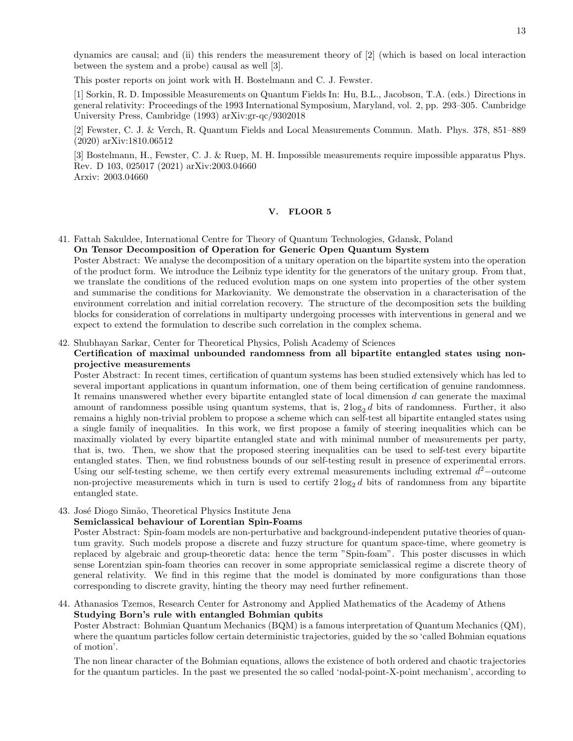dynamics are causal; and (ii) this renders the measurement theory of [2] (which is based on local interaction between the system and a probe) causal as well [3].

This poster reports on joint work with H. Bostelmann and C. J. Fewster.

[1] Sorkin, R. D. Impossible Measurements on Quantum Fields In: Hu, B.L., Jacobson, T.A. (eds.) Directions in general relativity: Proceedings of the 1993 International Symposium, Maryland, vol. 2, pp. 293–305. Cambridge University Press, Cambridge (1993) arXiv:gr-qc/9302018

[2] Fewster, C. J. & Verch, R. Quantum Fields and Local Measurements Commun. Math. Phys. 378, 851–889 (2020) arXiv:1810.06512

[3] Bostelmann, H., Fewster, C. J. & Ruep, M. H. Impossible measurements require impossible apparatus Phys. Rev. D 103, 025017 (2021) arXiv:2003.04660 Arxiv: 2003.04660

### <span id="page-12-0"></span>V. FLOOR 5

41. Fattah Sakuldee, International Centre for Theory of Quantum Technologies, Gdansk, Poland On Tensor Decomposition of Operation for Generic Open Quantum System

Poster Abstract: We analyse the decomposition of a unitary operation on the bipartite system into the operation of the product form. We introduce the Leibniz type identity for the generators of the unitary group. From that, we translate the conditions of the reduced evolution maps on one system into properties of the other system and summarise the conditions for Markovianity. We demonstrate the observation in a characterisation of the environment correlation and initial correlation recovery. The structure of the decomposition sets the building blocks for consideration of correlations in multiparty undergoing processes with interventions in general and we expect to extend the formulation to describe such correlation in the complex schema.

42. Shubhayan Sarkar, Center for Theoretical Physics, Polish Academy of Sciences

# Certification of maximal unbounded randomness from all bipartite entangled states using nonprojective measurements

Poster Abstract: In recent times, certification of quantum systems has been studied extensively which has led to several important applications in quantum information, one of them being certification of genuine randomness. It remains unanswered whether every bipartite entangled state of local dimension  $d$  can generate the maximal amount of randomness possible using quantum systems, that is,  $2 \log_2 d$  bits of randomness. Further, it also remains a highly non-trivial problem to propose a scheme which can self-test all bipartite entangled states using a single family of inequalities. In this work, we first propose a family of steering inequalities which can be maximally violated by every bipartite entangled state and with minimal number of measurements per party, that is, two. Then, we show that the proposed steering inequalities can be used to self-test every bipartite entangled states. Then, we find robustness bounds of our self-testing result in presence of experimental errors. Using our self-testing scheme, we then certify every extremal measurements including extremal  $d^2$ -outcome non-projective measurements which in turn is used to certify  $2 \log_2 d$  bits of randomness from any bipartite entangled state.

43. José Diogo Simão, Theoretical Physics Institute Jena

## Semiclassical behaviour of Lorentian Spin-Foams

Poster Abstract: Spin-foam models are non-perturbative and background-independent putative theories of quantum gravity. Such models propose a discrete and fuzzy structure for quantum space-time, where geometry is replaced by algebraic and group-theoretic data: hence the term "Spin-foam". This poster discusses in which sense Lorentzian spin-foam theories can recover in some appropriate semiclassical regime a discrete theory of general relativity. We find in this regime that the model is dominated by more configurations than those corresponding to discrete gravity, hinting the theory may need further refinement.

44. Athanasios Tzemos, Research Center for Astronomy and Applied Mathematics of the Academy of Athens Studying Born's rule with entangled Bohmian qubits

Poster Abstract: Bohmian Quantum Mechanics (BQM) is a famous interpretation of Quantum Mechanics (QM), where the quantum particles follow certain deterministic trajectories, guided by the so 'called Bohmian equations of motion'.

The non linear character of the Bohmian equations, allows the existence of both ordered and chaotic trajectories for the quantum particles. In the past we presented the so called 'nodal-point-X-point mechanism', according to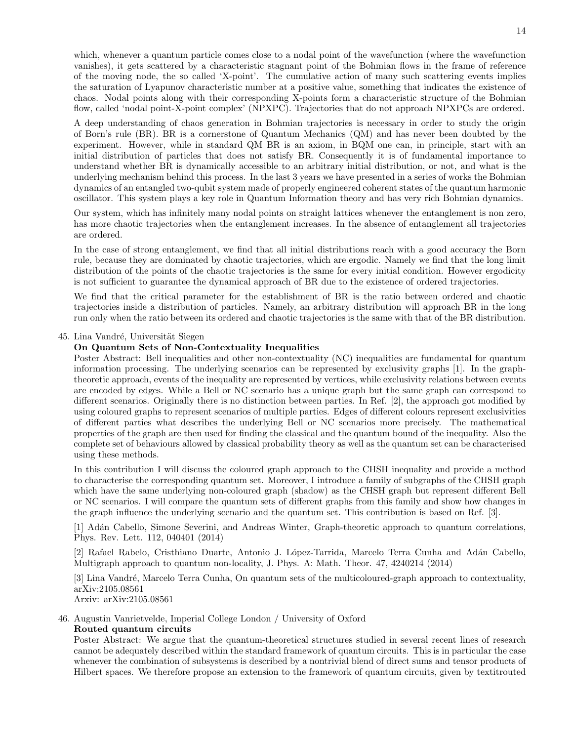which, whenever a quantum particle comes close to a nodal point of the wavefunction (where the wavefunction vanishes), it gets scattered by a characteristic stagnant point of the Bohmian flows in the frame of reference of the moving node, the so called 'X-point'. The cumulative action of many such scattering events implies the saturation of Lyapunov characteristic number at a positive value, something that indicates the existence of chaos. Nodal points along with their corresponding X-points form a characteristic structure of the Bohmian flow, called 'nodal point-X-point complex' (NPXPC). Trajectories that do not approach NPXPCs are ordered.

A deep understanding of chaos generation in Bohmian trajectories is necessary in order to study the origin of Born's rule (BR). BR is a cornerstone of Quantum Mechanics (QM) and has never been doubted by the experiment. However, while in standard QM BR is an axiom, in BQM one can, in principle, start with an initial distribution of particles that does not satisfy BR. Consequently it is of fundamental importance to understand whether BR is dynamically accessible to an arbitrary initial distribution, or not, and what is the underlying mechanism behind this process. In the last 3 years we have presented in a series of works the Bohmian dynamics of an entangled two-qubit system made of properly engineered coherent states of the quantum harmonic oscillator. This system plays a key role in Quantum Information theory and has very rich Bohmian dynamics.

Our system, which has infinitely many nodal points on straight lattices whenever the entanglement is non zero, has more chaotic trajectories when the entanglement increases. In the absence of entanglement all trajectories are ordered.

In the case of strong entanglement, we find that all initial distributions reach with a good accuracy the Born rule, because they are dominated by chaotic trajectories, which are ergodic. Namely we find that the long limit distribution of the points of the chaotic trajectories is the same for every initial condition. However ergodicity is not sufficient to guarantee the dynamical approach of BR due to the existence of ordered trajectories.

We find that the critical parameter for the establishment of BR is the ratio between ordered and chaotic trajectories inside a distribution of particles. Namely, an arbitrary distribution will approach BR in the long run only when the ratio between its ordered and chaotic trajectories is the same with that of the BR distribution.

## 45. Lina Vandré, Universität Siegen

### On Quantum Sets of Non-Contextuality Inequalities

Poster Abstract: Bell inequalities and other non-contextuality (NC) inequalities are fundamental for quantum information processing. The underlying scenarios can be represented by exclusivity graphs [1]. In the graphtheoretic approach, events of the inequality are represented by vertices, while exclusivity relations between events are encoded by edges. While a Bell or NC scenario has a unique graph but the same graph can correspond to different scenarios. Originally there is no distinction between parties. In Ref. [2], the approach got modified by using coloured graphs to represent scenarios of multiple parties. Edges of different colours represent exclusivities of different parties what describes the underlying Bell or NC scenarios more precisely. The mathematical properties of the graph are then used for finding the classical and the quantum bound of the inequality. Also the complete set of behaviours allowed by classical probability theory as well as the quantum set can be characterised using these methods.

In this contribution I will discuss the coloured graph approach to the CHSH inequality and provide a method to characterise the corresponding quantum set. Moreover, I introduce a family of subgraphs of the CHSH graph which have the same underlying non-coloured graph (shadow) as the CHSH graph but represent different Bell or NC scenarios. I will compare the quantum sets of different graphs from this family and show how changes in the graph influence the underlying scenario and the quantum set. This contribution is based on Ref. [3].

[1] Adán Cabello, Simone Severini, and Andreas Winter, Graph-theoretic approach to quantum correlations, Phys. Rev. Lett. 112, 040401 (2014)

[2] Rafael Rabelo, Cristhiano Duarte, Antonio J. López-Tarrida, Marcelo Terra Cunha and Adán Cabello, Multigraph approach to quantum non-locality, J. Phys. A: Math. Theor. 47, 4240214 (2014)

[3] Lina Vandr´e, Marcelo Terra Cunha, On quantum sets of the multicoloured-graph approach to contextuality, arXiv:2105.08561 Arxiv: arXiv:2105.08561

46. Augustin Vanrietvelde, Imperial College London / University of Oxford Routed quantum circuits

Poster Abstract: We argue that the quantum-theoretical structures studied in several recent lines of research cannot be adequately described within the standard framework of quantum circuits. This is in particular the case whenever the combination of subsystems is described by a nontrivial blend of direct sums and tensor products of Hilbert spaces. We therefore propose an extension to the framework of quantum circuits, given by textitrouted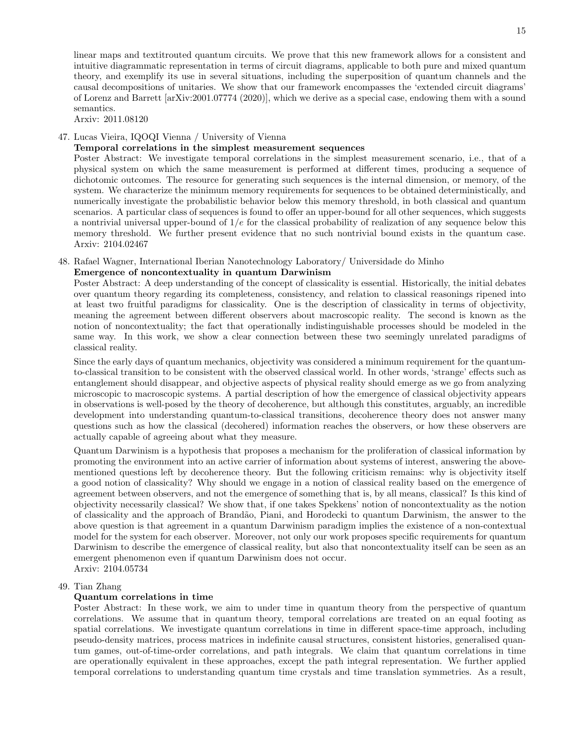linear maps and textitrouted quantum circuits. We prove that this new framework allows for a consistent and intuitive diagrammatic representation in terms of circuit diagrams, applicable to both pure and mixed quantum theory, and exemplify its use in several situations, including the superposition of quantum channels and the causal decompositions of unitaries. We show that our framework encompasses the 'extended circuit diagrams' of Lorenz and Barrett [arXiv:2001.07774 (2020)], which we derive as a special case, endowing them with a sound semantics.

Arxiv: 2011.08120

## 47. Lucas Vieira, IQOQI Vienna / University of Vienna

## Temporal correlations in the simplest measurement sequences

Poster Abstract: We investigate temporal correlations in the simplest measurement scenario, i.e., that of a physical system on which the same measurement is performed at different times, producing a sequence of dichotomic outcomes. The resource for generating such sequences is the internal dimension, or memory, of the system. We characterize the minimum memory requirements for sequences to be obtained deterministically, and numerically investigate the probabilistic behavior below this memory threshold, in both classical and quantum scenarios. A particular class of sequences is found to offer an upper-bound for all other sequences, which suggests a nontrivial universal upper-bound of  $1/e$  for the classical probability of realization of any sequence below this memory threshold. We further present evidence that no such nontrivial bound exists in the quantum case. Arxiv: 2104.02467

# 48. Rafael Wagner, International Iberian Nanotechnology Laboratory/ Universidade do Minho

# Emergence of noncontextuality in quantum Darwinism

Poster Abstract: A deep understanding of the concept of classicality is essential. Historically, the initial debates over quantum theory regarding its completeness, consistency, and relation to classical reasonings ripened into at least two fruitful paradigms for classicality. One is the description of classicality in terms of objectivity, meaning the agreement between different observers about macroscopic reality. The second is known as the notion of noncontextuality; the fact that operationally indistinguishable processes should be modeled in the same way. In this work, we show a clear connection between these two seemingly unrelated paradigms of classical reality.

Since the early days of quantum mechanics, objectivity was considered a minimum requirement for the quantumto-classical transition to be consistent with the observed classical world. In other words, 'strange' effects such as entanglement should disappear, and objective aspects of physical reality should emerge as we go from analyzing microscopic to macroscopic systems. A partial description of how the emergence of classical objectivity appears in observations is well-posed by the theory of decoherence, but although this constitutes, arguably, an incredible development into understanding quantum-to-classical transitions, decoherence theory does not answer many questions such as how the classical (decohered) information reaches the observers, or how these observers are actually capable of agreeing about what they measure.

Quantum Darwinism is a hypothesis that proposes a mechanism for the proliferation of classical information by promoting the environment into an active carrier of information about systems of interest, answering the abovementioned questions left by decoherence theory. But the following criticism remains: why is objectivity itself a good notion of classicality? Why should we engage in a notion of classical reality based on the emergence of agreement between observers, and not the emergence of something that is, by all means, classical? Is this kind of objectivity necessarily classical? We show that, if one takes Spekkens' notion of noncontextuality as the notion of classicality and the approach of Brand˜ao, Piani, and Horodecki to quantum Darwinism, the answer to the above question is that agreement in a quantum Darwinism paradigm implies the existence of a non-contextual model for the system for each observer. Moreover, not only our work proposes specific requirements for quantum Darwinism to describe the emergence of classical reality, but also that noncontextuality itself can be seen as an emergent phenomenon even if quantum Darwinism does not occur. Arxiv: 2104.05734

## 49. Tian Zhang

## Quantum correlations in time

Poster Abstract: In these work, we aim to under time in quantum theory from the perspective of quantum correlations. We assume that in quantum theory, temporal correlations are treated on an equal footing as spatial correlations. We investigate quantum correlations in time in different space-time approach, including pseudo-density matrices, process matrices in indefinite causal structures, consistent histories, generalised quantum games, out-of-time-order correlations, and path integrals. We claim that quantum correlations in time are operationally equivalent in these approaches, except the path integral representation. We further applied temporal correlations to understanding quantum time crystals and time translation symmetries. As a result,